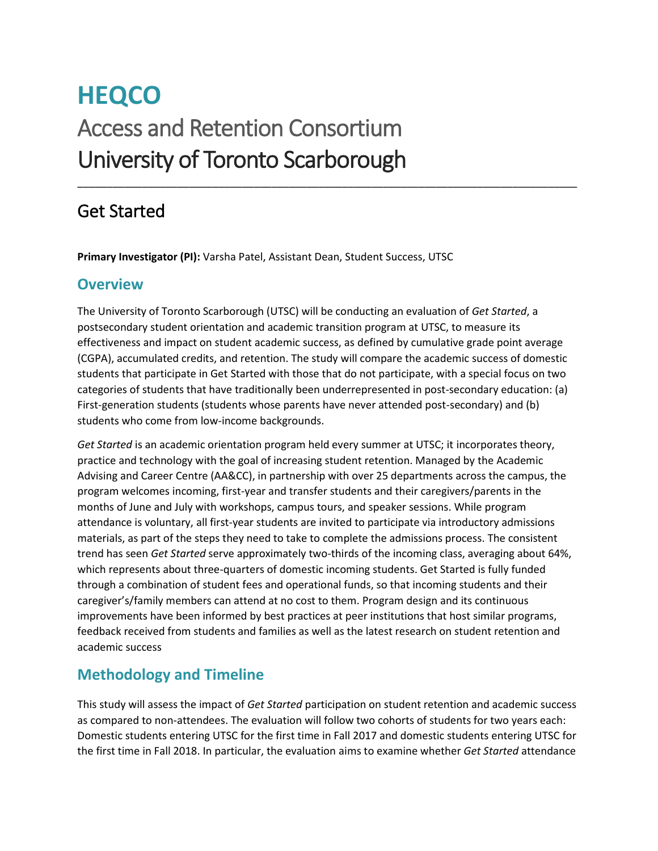# **HEQCO**  Access and Retention Consortium University of Toronto Scarborough

# Get Started

**Primary Investigator (PI):** Varsha Patel, Assistant Dean, Student Success, UTSC

#### **Overview**

The University of Toronto Scarborough (UTSC) will be conducting an evaluation of *Get Started*, a postsecondary student orientation and academic transition program at UTSC, to measure its effectiveness and impact on student academic success, as defined by cumulative grade point average (CGPA), accumulated credits, and retention. The study will compare the academic success of domestic students that participate in Get Started with those that do not participate, with a special focus on two categories of students that have traditionally been underrepresented in post-secondary education: (a) First-generation students (students whose parents have never attended post-secondary) and (b) students who come from low-income backgrounds.

\_\_\_\_\_\_\_\_\_\_\_\_\_\_\_\_\_\_\_\_\_\_\_\_\_\_\_\_\_\_\_\_\_\_\_\_\_\_\_\_\_\_\_\_\_\_\_\_\_\_\_\_\_\_\_\_\_\_\_\_\_\_\_\_\_\_\_\_\_\_\_\_\_\_\_\_\_\_\_\_\_\_\_\_\_

*Get Started* is an academic orientation program held every summer at UTSC; it incorporates theory, practice and technology with the goal of increasing student retention. Managed by the Academic Advising and Career Centre (AA&CC), in partnership with over 25 departments across the campus, the program welcomes incoming, first-year and transfer students and their caregivers/parents in the months of June and July with workshops, campus tours, and speaker sessions. While program attendance is voluntary, all first-year students are invited to participate via introductory admissions materials, as part of the steps they need to take to complete the admissions process. The consistent trend has seen *Get Started* serve approximately two-thirds of the incoming class, averaging about 64%, which represents about three-quarters of domestic incoming students. Get Started is fully funded through a combination of student fees and operational funds, so that incoming students and their caregiver's/family members can attend at no cost to them. Program design and its continuous improvements have been informed by best practices at peer institutions that host similar programs, feedback received from students and families as well as the latest research on student retention and academic success

## **Methodology and Timeline**

This study will assess the impact of *Get Started* participation on student retention and academic success as compared to non-attendees. The evaluation will follow two cohorts of students for two years each: Domestic students entering UTSC for the first time in Fall 2017 and domestic students entering UTSC for the first time in Fall 2018. In particular, the evaluation aims to examine whether *Get Started* attendance